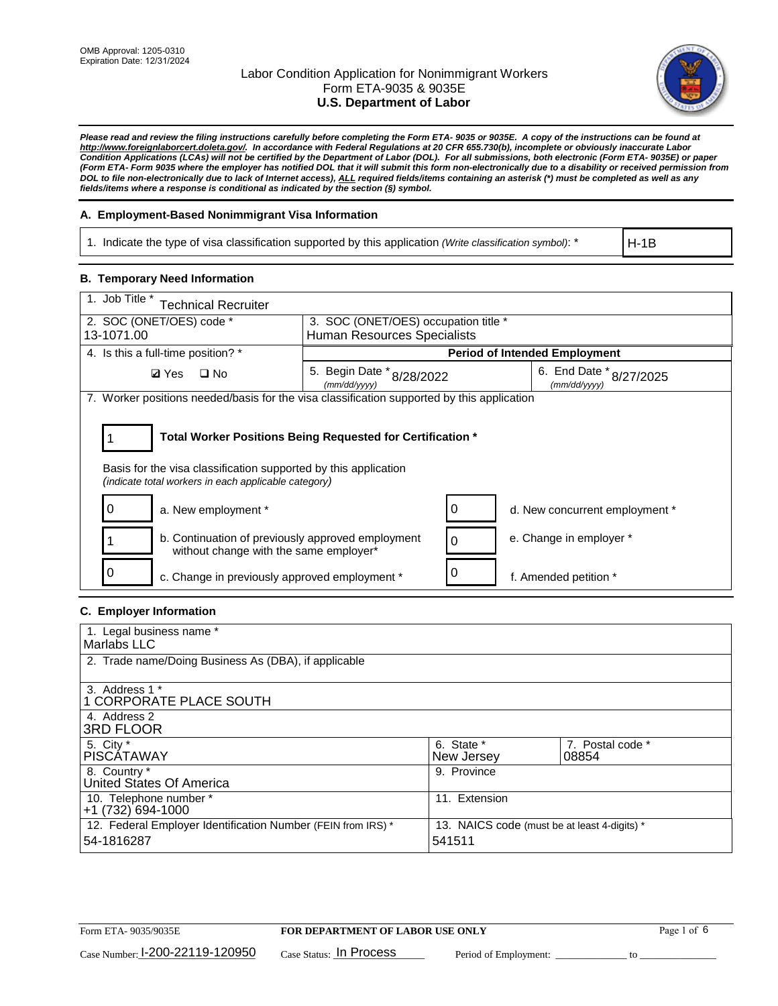

*Please read and review the filing instructions carefully before completing the Form ETA- 9035 or 9035E. A copy of the instructions can be found at http://www.foreignlaborcert.doleta.gov/. In accordance with Federal Regulations at 20 CFR 655.730(b), incomplete or obviously inaccurate Labor Condition Applications (LCAs) will not be certified by the Department of Labor (DOL). For all submissions, both electronic (Form ETA- 9035E) or paper (Form ETA- Form 9035 where the employer has notified DOL that it will submit this form non-electronically due to a disability or received permission from DOL to file non-electronically due to lack of Internet access), ALL required fields/items containing an asterisk (\*) must be completed as well as any fields/items where a response is conditional as indicated by the section (§) symbol.* 

### **A. Employment-Based Nonimmigrant Visa Information**

1. Indicate the type of visa classification supported by this application *(Write classification symbol)*: \*

H-1B

### **B. Temporary Need Information**

| 1. Job Title *<br><b>Technical Recruiter</b>                                                                                                                                          |                                                                                      |                                      |                                |  |  |
|---------------------------------------------------------------------------------------------------------------------------------------------------------------------------------------|--------------------------------------------------------------------------------------|--------------------------------------|--------------------------------|--|--|
| 2. SOC (ONET/OES) code *<br>3. SOC (ONET/OES) occupation title *                                                                                                                      |                                                                                      |                                      |                                |  |  |
| 13-1071.00                                                                                                                                                                            | Human Resources Specialists                                                          |                                      |                                |  |  |
| 4. Is this a full-time position? *                                                                                                                                                    |                                                                                      | <b>Period of Intended Employment</b> |                                |  |  |
| <b>Ø</b> Yes<br>$\Box$ No                                                                                                                                                             | 5. Begin Date * 8/28/2022<br>6. End Date * 8/27/2025<br>(mm/dd/yyyy)<br>(mm/dd/yyyy) |                                      |                                |  |  |
| 7. Worker positions needed/basis for the visa classification supported by this application                                                                                            |                                                                                      |                                      |                                |  |  |
| Total Worker Positions Being Requested for Certification *<br>Basis for the visa classification supported by this application<br>(indicate total workers in each applicable category) |                                                                                      |                                      |                                |  |  |
| a. New employment *                                                                                                                                                                   |                                                                                      |                                      | d. New concurrent employment * |  |  |
| b. Continuation of previously approved employment<br>without change with the same employer*                                                                                           |                                                                                      |                                      | e. Change in employer *        |  |  |
| c. Change in previously approved employment *                                                                                                                                         |                                                                                      |                                      | f. Amended petition *          |  |  |

### **C. Employer Information**

| 1. Legal business name *                                                                                     |               |                  |  |  |
|--------------------------------------------------------------------------------------------------------------|---------------|------------------|--|--|
| Marlabs LLC                                                                                                  |               |                  |  |  |
| 2. Trade name/Doing Business As (DBA), if applicable                                                         |               |                  |  |  |
|                                                                                                              |               |                  |  |  |
| 3. Address 1 *                                                                                               |               |                  |  |  |
| 1 CORPORATE PLACE SOUTH                                                                                      |               |                  |  |  |
| 4. Address 2                                                                                                 |               |                  |  |  |
| <b>3RD FLOOR</b>                                                                                             |               |                  |  |  |
| 5. City *                                                                                                    | 6. State *    | 7. Postal code * |  |  |
| PISCÁTAWAY                                                                                                   | New Jersey    | 08854            |  |  |
| 8. Country *                                                                                                 | 9. Province   |                  |  |  |
| United States Of America                                                                                     |               |                  |  |  |
| 10. Telephone number *                                                                                       | 11. Extension |                  |  |  |
| +1 (732) 694-1000                                                                                            |               |                  |  |  |
| 12. Federal Employer Identification Number (FEIN from IRS) *<br>13. NAICS code (must be at least 4-digits) * |               |                  |  |  |
| 54-1816287                                                                                                   | 541511        |                  |  |  |
|                                                                                                              |               |                  |  |  |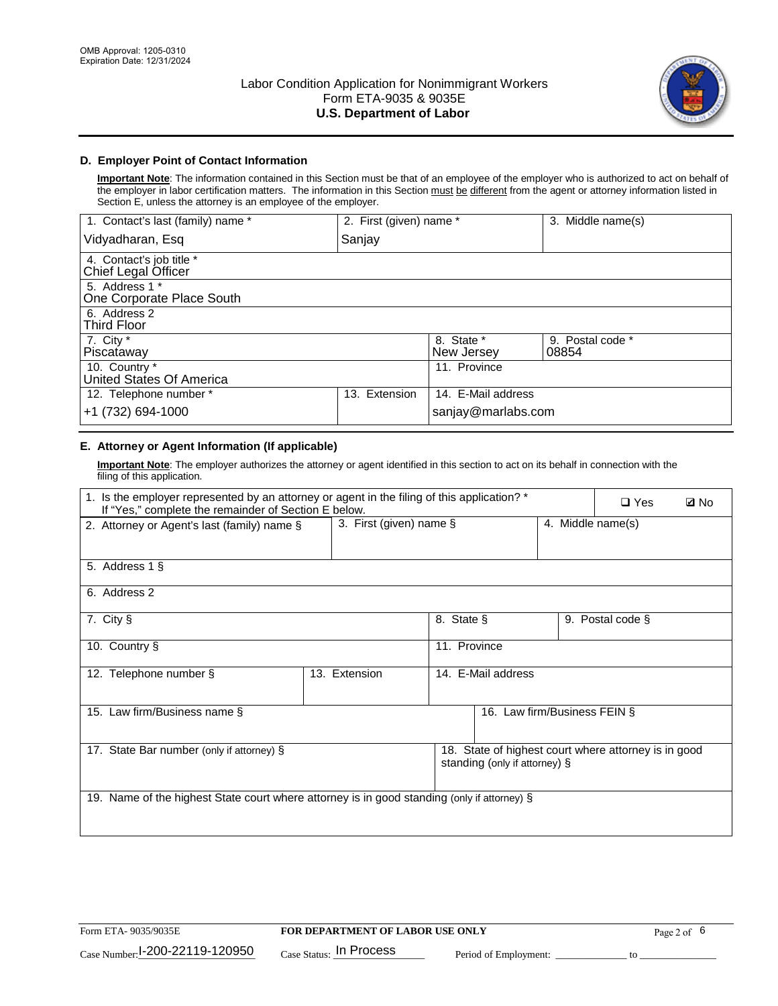

### **D. Employer Point of Contact Information**

**Important Note**: The information contained in this Section must be that of an employee of the employer who is authorized to act on behalf of the employer in labor certification matters. The information in this Section must be different from the agent or attorney information listed in Section E, unless the attorney is an employee of the employer.

| 1. Contact's last (family) name *               | 2. First (given) name * |                          | 3. Middle name(s)         |
|-------------------------------------------------|-------------------------|--------------------------|---------------------------|
| Vidyadharan, Esq                                | Sanjay                  |                          |                           |
| 4. Contact's job title *<br>Chief Legal Officer |                         |                          |                           |
| 5. Address 1 *<br>One Corporate Place South     |                         |                          |                           |
| 6. Address 2<br><b>Third Floor</b>              |                         |                          |                           |
| 7. City $*$<br>Piscataway                       |                         | 8. State *<br>New Jersey | 9. Postal code *<br>08854 |
| 10. Country *<br>United States Of America       |                         | 11. Province             |                           |
| 12. Telephone number *                          | Extension<br>13.        | 14. E-Mail address       |                           |
| +1 (732) 694-1000                               |                         | sanjay@marlabs.com       |                           |

## **E. Attorney or Agent Information (If applicable)**

**Important Note**: The employer authorizes the attorney or agent identified in this section to act on its behalf in connection with the filing of this application.

| 1. Is the employer represented by an attorney or agent in the filing of this application? *<br>If "Yes," complete the remainder of Section E below. |                            |                    |                              |                   | $\square$ Yes | <b>Ø</b> No |
|-----------------------------------------------------------------------------------------------------------------------------------------------------|----------------------------|--------------------|------------------------------|-------------------|---------------|-------------|
| 2. Attorney or Agent's last (family) name §                                                                                                         | 3. First (given) name $\S$ |                    |                              | 4. Middle name(s) |               |             |
| 5. Address 1 §                                                                                                                                      |                            |                    |                              |                   |               |             |
| 6. Address 2                                                                                                                                        |                            |                    |                              |                   |               |             |
| 7. City §<br>8. State §<br>9. Postal code §                                                                                                         |                            |                    |                              |                   |               |             |
| 11. Province<br>10. Country §                                                                                                                       |                            |                    |                              |                   |               |             |
| 12. Telephone number §                                                                                                                              | 13. Extension              | 14. E-Mail address |                              |                   |               |             |
| 15. Law firm/Business name §                                                                                                                        |                            |                    | 16. Law firm/Business FEIN § |                   |               |             |
| 18. State of highest court where attorney is in good<br>17. State Bar number (only if attorney) §<br>standing (only if attorney) §                  |                            |                    |                              |                   |               |             |
| 19. Name of the highest State court where attorney is in good standing (only if attorney) §                                                         |                            |                    |                              |                   |               |             |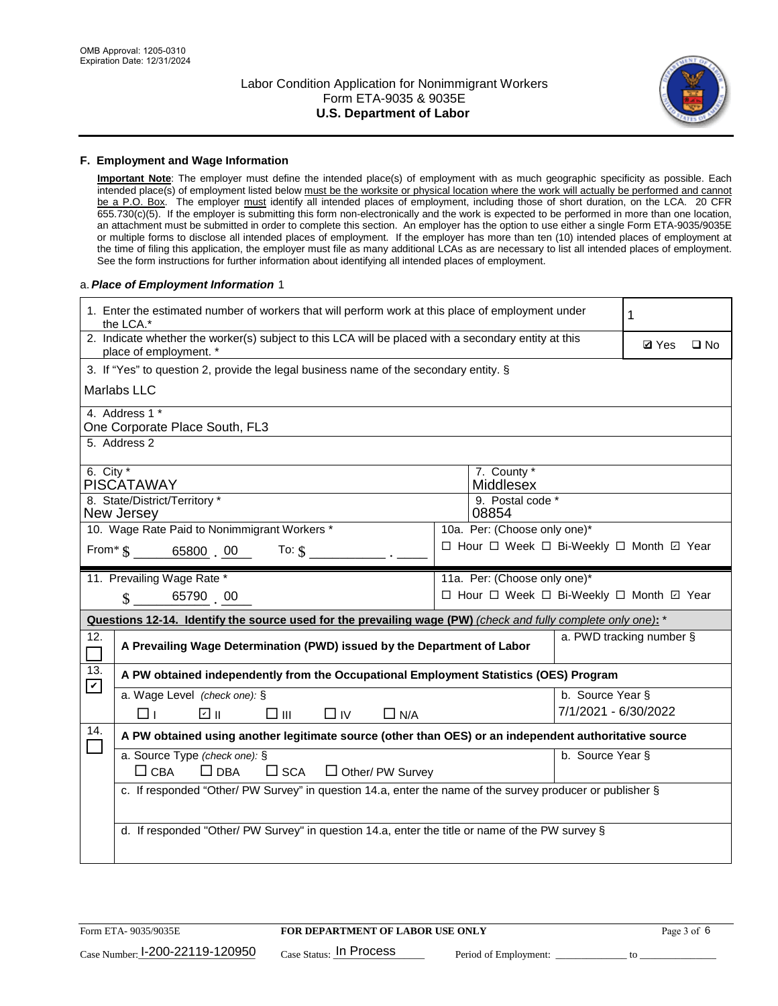

#### **F. Employment and Wage Information**

**Important Note**: The employer must define the intended place(s) of employment with as much geographic specificity as possible. Each intended place(s) of employment listed below must be the worksite or physical location where the work will actually be performed and cannot be a P.O. Box. The employer must identify all intended places of employment, including those of short duration, on the LCA. 20 CFR 655.730(c)(5). If the employer is submitting this form non-electronically and the work is expected to be performed in more than one location, an attachment must be submitted in order to complete this section. An employer has the option to use either a single Form ETA-9035/9035E or multiple forms to disclose all intended places of employment. If the employer has more than ten (10) intended places of employment at the time of filing this application, the employer must file as many additional LCAs as are necessary to list all intended places of employment. See the form instructions for further information about identifying all intended places of employment.

#### a.*Place of Employment Information* 1

|             | 1. Enter the estimated number of workers that will perform work at this place of employment under<br>the LCA.*                 |  |                                          |                      |                          |              |
|-------------|--------------------------------------------------------------------------------------------------------------------------------|--|------------------------------------------|----------------------|--------------------------|--------------|
|             | 2. Indicate whether the worker(s) subject to this LCA will be placed with a secondary entity at this<br>place of employment. * |  |                                          |                      |                          | $\square$ No |
|             | 3. If "Yes" to question 2, provide the legal business name of the secondary entity. §                                          |  |                                          |                      |                          |              |
|             | Marlabs LLC                                                                                                                    |  |                                          |                      |                          |              |
|             | 4. Address 1 *<br>One Corporate Place South, FL3                                                                               |  |                                          |                      |                          |              |
|             | 5. Address 2                                                                                                                   |  |                                          |                      |                          |              |
|             |                                                                                                                                |  |                                          |                      |                          |              |
| 6. City $*$ | <b>PISCATAWAY</b>                                                                                                              |  | 7. County *<br>Middlesex                 |                      |                          |              |
|             | 8. State/District/Territory *<br>New Jersey                                                                                    |  | 9. Postal code *<br>08854                |                      |                          |              |
|             | 10. Wage Rate Paid to Nonimmigrant Workers *                                                                                   |  | 10a. Per: (Choose only one)*             |                      |                          |              |
|             | From * \$ 65800 00<br>To: $\oint$                                                                                              |  | □ Hour □ Week □ Bi-Weekly □ Month ☑ Year |                      |                          |              |
|             |                                                                                                                                |  |                                          |                      |                          |              |
|             | 11. Prevailing Wage Rate *                                                                                                     |  | 11a. Per: (Choose only one)*             |                      |                          |              |
|             | 65790 00<br>$\mathbf S$                                                                                                        |  | □ Hour □ Week □ Bi-Weekly □ Month ☑ Year |                      |                          |              |
|             | Questions 12-14. Identify the source used for the prevailing wage (PW) (check and fully complete only one): *                  |  |                                          |                      |                          |              |
| 12.         | A Prevailing Wage Determination (PWD) issued by the Department of Labor                                                        |  |                                          |                      | a. PWD tracking number § |              |
| 13.         | A PW obtained independently from the Occupational Employment Statistics (OES) Program                                          |  |                                          |                      |                          |              |
| $\mathbf v$ | a. Wage Level (check one): §                                                                                                   |  |                                          | b. Source Year §     |                          |              |
|             | ☑ ⊪<br>$\square$ $\square$<br>$\Box$ IV<br>$\Box$ N/A<br>□⊥                                                                    |  |                                          | 7/1/2021 - 6/30/2022 |                          |              |
| 14.         | A PW obtained using another legitimate source (other than OES) or an independent authoritative source                          |  |                                          |                      |                          |              |
|             | a. Source Type (check one): §<br>b. Source Year §                                                                              |  |                                          |                      |                          |              |
|             | $\Box$ CBA<br>$\Box$ DBA<br>$\square$ SCA<br>$\Box$ Other/ PW Survey                                                           |  |                                          |                      |                          |              |
|             | c. If responded "Other/ PW Survey" in question 14.a, enter the name of the survey producer or publisher §                      |  |                                          |                      |                          |              |
|             |                                                                                                                                |  |                                          |                      |                          |              |
|             | d. If responded "Other/ PW Survey" in question 14.a, enter the title or name of the PW survey §                                |  |                                          |                      |                          |              |
|             |                                                                                                                                |  |                                          |                      |                          |              |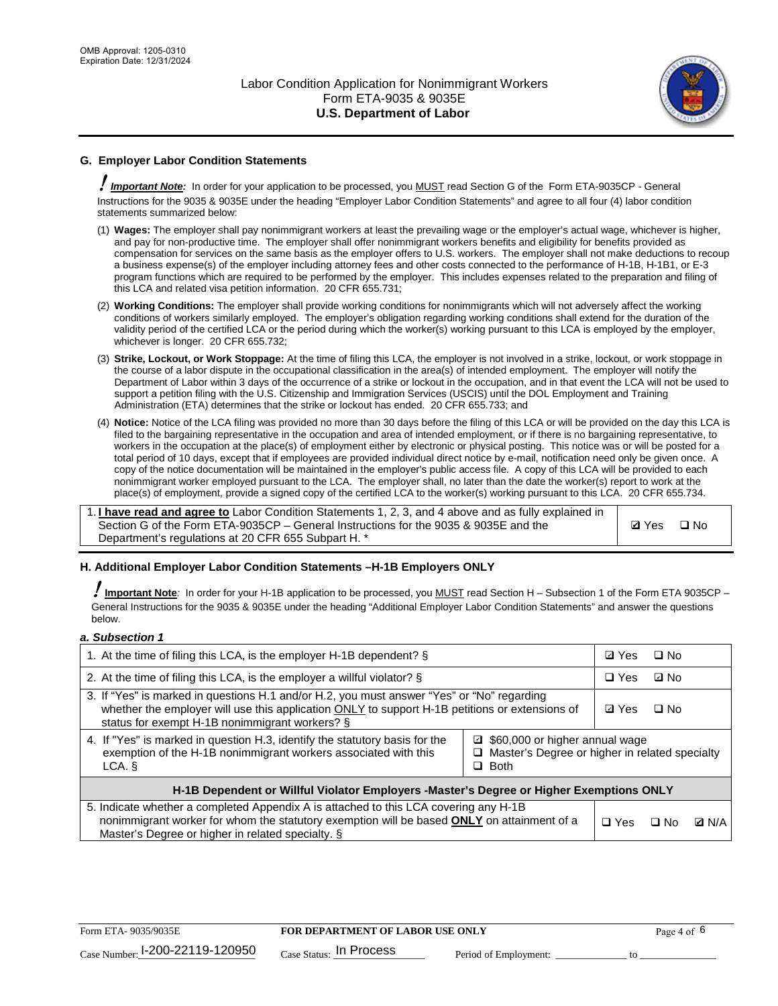

## **G. Employer Labor Condition Statements**

! *Important Note:* In order for your application to be processed, you MUST read Section G of the Form ETA-9035CP - General Instructions for the 9035 & 9035E under the heading "Employer Labor Condition Statements" and agree to all four (4) labor condition statements summarized below:

- (1) **Wages:** The employer shall pay nonimmigrant workers at least the prevailing wage or the employer's actual wage, whichever is higher, and pay for non-productive time. The employer shall offer nonimmigrant workers benefits and eligibility for benefits provided as compensation for services on the same basis as the employer offers to U.S. workers. The employer shall not make deductions to recoup a business expense(s) of the employer including attorney fees and other costs connected to the performance of H-1B, H-1B1, or E-3 program functions which are required to be performed by the employer. This includes expenses related to the preparation and filing of this LCA and related visa petition information. 20 CFR 655.731;
- (2) **Working Conditions:** The employer shall provide working conditions for nonimmigrants which will not adversely affect the working conditions of workers similarly employed. The employer's obligation regarding working conditions shall extend for the duration of the validity period of the certified LCA or the period during which the worker(s) working pursuant to this LCA is employed by the employer, whichever is longer. 20 CFR 655.732;
- (3) **Strike, Lockout, or Work Stoppage:** At the time of filing this LCA, the employer is not involved in a strike, lockout, or work stoppage in the course of a labor dispute in the occupational classification in the area(s) of intended employment. The employer will notify the Department of Labor within 3 days of the occurrence of a strike or lockout in the occupation, and in that event the LCA will not be used to support a petition filing with the U.S. Citizenship and Immigration Services (USCIS) until the DOL Employment and Training Administration (ETA) determines that the strike or lockout has ended. 20 CFR 655.733; and
- (4) **Notice:** Notice of the LCA filing was provided no more than 30 days before the filing of this LCA or will be provided on the day this LCA is filed to the bargaining representative in the occupation and area of intended employment, or if there is no bargaining representative, to workers in the occupation at the place(s) of employment either by electronic or physical posting. This notice was or will be posted for a total period of 10 days, except that if employees are provided individual direct notice by e-mail, notification need only be given once. A copy of the notice documentation will be maintained in the employer's public access file. A copy of this LCA will be provided to each nonimmigrant worker employed pursuant to the LCA. The employer shall, no later than the date the worker(s) report to work at the place(s) of employment, provide a signed copy of the certified LCA to the worker(s) working pursuant to this LCA. 20 CFR 655.734.

1. **I have read and agree to** Labor Condition Statements 1, 2, 3, and 4 above and as fully explained in Section G of the Form ETA-9035CP – General Instructions for the 9035 & 9035E and the Department's regulations at 20 CFR 655 Subpart H. \*

**Ø**Yes ロNo

#### **H. Additional Employer Labor Condition Statements –H-1B Employers ONLY**

!**Important Note***:* In order for your H-1B application to be processed, you MUST read Section H – Subsection 1 of the Form ETA 9035CP – General Instructions for the 9035 & 9035E under the heading "Additional Employer Labor Condition Statements" and answer the questions below.

#### *a. Subsection 1*

| 1. At the time of filing this LCA, is the employer H-1B dependent? §                                                                                                                                                                                          |  |  | $\square$ No |              |
|---------------------------------------------------------------------------------------------------------------------------------------------------------------------------------------------------------------------------------------------------------------|--|--|--------------|--------------|
| 2. At the time of filing this LCA, is the employer a willful violator? $\S$                                                                                                                                                                                   |  |  | ⊡ No         |              |
| 3. If "Yes" is marked in questions H.1 and/or H.2, you must answer "Yes" or "No" regarding<br>whether the employer will use this application ONLY to support H-1B petitions or extensions of<br>status for exempt H-1B nonimmigrant workers? §                |  |  | $\Box$ No    |              |
| 4. If "Yes" is marked in question H.3, identify the statutory basis for the<br>■ \$60,000 or higher annual wage<br>exemption of the H-1B nonimmigrant workers associated with this<br>□ Master's Degree or higher in related specialty<br>$\Box$ Both<br>LCA. |  |  |              |              |
| H-1B Dependent or Willful Violator Employers -Master's Degree or Higher Exemptions ONLY                                                                                                                                                                       |  |  |              |              |
| 5. Indicate whether a completed Appendix A is attached to this LCA covering any H-1B<br>nonimmigrant worker for whom the statutory exemption will be based <b>ONLY</b> on attainment of a<br>Master's Degree or higher in related specialty. §                |  |  | ⊡ No         | <b>D</b> N/A |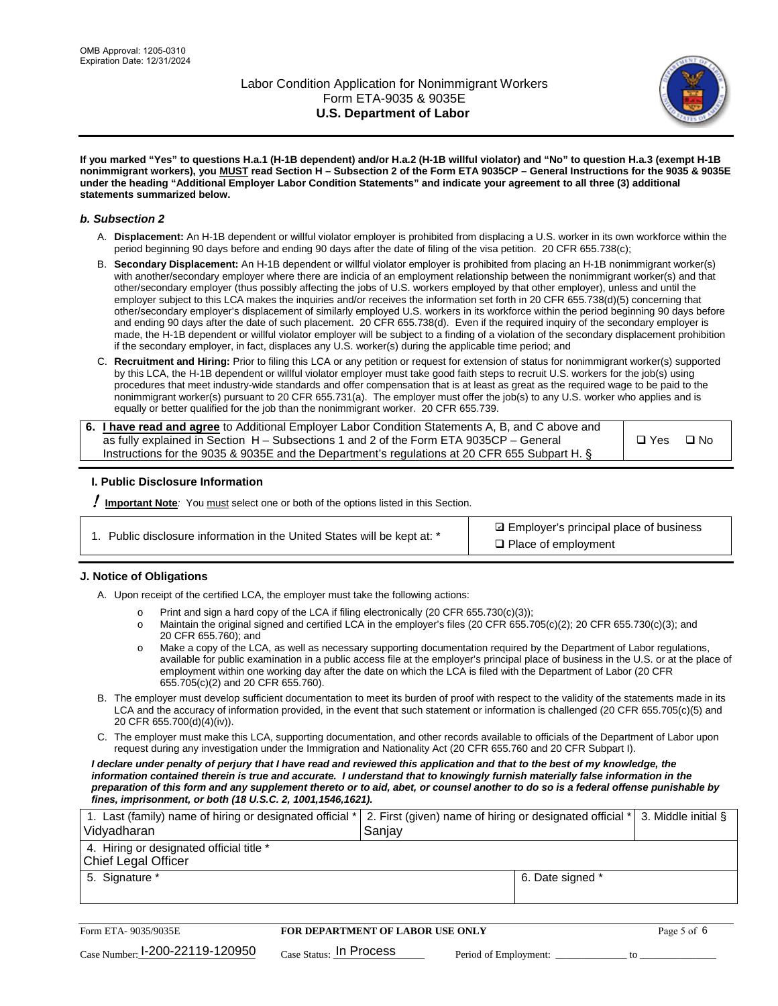

**If you marked "Yes" to questions H.a.1 (H-1B dependent) and/or H.a.2 (H-1B willful violator) and "No" to question H.a.3 (exempt H-1B nonimmigrant workers), you MUST read Section H – Subsection 2 of the Form ETA 9035CP – General Instructions for the 9035 & 9035E under the heading "Additional Employer Labor Condition Statements" and indicate your agreement to all three (3) additional statements summarized below.**

#### *b. Subsection 2*

- A. **Displacement:** An H-1B dependent or willful violator employer is prohibited from displacing a U.S. worker in its own workforce within the period beginning 90 days before and ending 90 days after the date of filing of the visa petition. 20 CFR 655.738(c);
- B. **Secondary Displacement:** An H-1B dependent or willful violator employer is prohibited from placing an H-1B nonimmigrant worker(s) with another/secondary employer where there are indicia of an employment relationship between the nonimmigrant worker(s) and that other/secondary employer (thus possibly affecting the jobs of U.S. workers employed by that other employer), unless and until the employer subject to this LCA makes the inquiries and/or receives the information set forth in 20 CFR 655.738(d)(5) concerning that other/secondary employer's displacement of similarly employed U.S. workers in its workforce within the period beginning 90 days before and ending 90 days after the date of such placement. 20 CFR 655.738(d). Even if the required inquiry of the secondary employer is made, the H-1B dependent or willful violator employer will be subject to a finding of a violation of the secondary displacement prohibition if the secondary employer, in fact, displaces any U.S. worker(s) during the applicable time period; and
- C. **Recruitment and Hiring:** Prior to filing this LCA or any petition or request for extension of status for nonimmigrant worker(s) supported by this LCA, the H-1B dependent or willful violator employer must take good faith steps to recruit U.S. workers for the job(s) using procedures that meet industry-wide standards and offer compensation that is at least as great as the required wage to be paid to the nonimmigrant worker(s) pursuant to 20 CFR 655.731(a). The employer must offer the job(s) to any U.S. worker who applies and is equally or better qualified for the job than the nonimmigrant worker. 20 CFR 655.739.

| 6. I have read and agree to Additional Employer Labor Condition Statements A, B, and C above and |       |           |
|--------------------------------------------------------------------------------------------------|-------|-----------|
| as fully explained in Section H – Subsections 1 and 2 of the Form ETA 9035CP – General           | □ Yes | $\Box$ No |
| Instructions for the 9035 & 9035E and the Department's regulations at 20 CFR 655 Subpart H. §    |       |           |

#### **I. Public Disclosure Information**

! **Important Note***:* You must select one or both of the options listed in this Section.

**sqrt** Employer's principal place of business □ Place of employment

#### **J. Notice of Obligations**

A. Upon receipt of the certified LCA, the employer must take the following actions:

- o Print and sign a hard copy of the LCA if filing electronically (20 CFR 655.730(c)(3));<br>
Maintain the original signed and certified LCA in the employer's files (20 CFR 655.7
- Maintain the original signed and certified LCA in the employer's files (20 CFR 655.705(c)(2); 20 CFR 655.730(c)(3); and 20 CFR 655.760); and
- o Make a copy of the LCA, as well as necessary supporting documentation required by the Department of Labor regulations, available for public examination in a public access file at the employer's principal place of business in the U.S. or at the place of employment within one working day after the date on which the LCA is filed with the Department of Labor (20 CFR 655.705(c)(2) and 20 CFR 655.760).
- B. The employer must develop sufficient documentation to meet its burden of proof with respect to the validity of the statements made in its LCA and the accuracy of information provided, in the event that such statement or information is challenged (20 CFR 655.705(c)(5) and 20 CFR 655.700(d)(4)(iv)).
- C. The employer must make this LCA, supporting documentation, and other records available to officials of the Department of Labor upon request during any investigation under the Immigration and Nationality Act (20 CFR 655.760 and 20 CFR Subpart I).

*I declare under penalty of perjury that I have read and reviewed this application and that to the best of my knowledge, the*  information contained therein is true and accurate. I understand that to knowingly furnish materially false information in the *preparation of this form and any supplement thereto or to aid, abet, or counsel another to do so is a federal offense punishable by fines, imprisonment, or both (18 U.S.C. 2, 1001,1546,1621).*

| 1. Last (family) name of hiring or designated official *   2. First (given) name of hiring or designated official *   3. Middle initial §<br>Vidyadharan | Saniav           |  |
|----------------------------------------------------------------------------------------------------------------------------------------------------------|------------------|--|
| 4. Hiring or designated official title *<br>Chief Legal Officer                                                                                          |                  |  |
| 5. Signature *                                                                                                                                           | 6. Date signed * |  |

| Form ETA-9035/9035E                         | <b>FOR DEPARTMENT OF LABOR USE ONLY</b> | Page 5 of 6           |  |
|---------------------------------------------|-----------------------------------------|-----------------------|--|
| $_{\text{Case Number:}}$ I-200-22119-120950 | $_{\rm Case~S status:}$ In Process      | Period of Employment: |  |